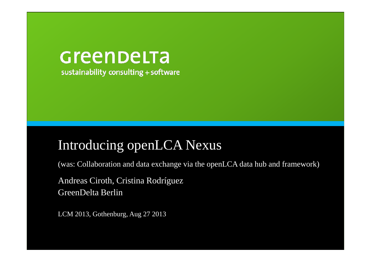#### Greenbelta sustainability consulting + software

Introducing openLCA Nexus

(was: Collaboration and data exchange via the openLCA data hub and framework)

Andreas Ciroth, Cristina RodríguezGreenDelta Berlin

LCM 2013, Gothenburg, Aug 27 2013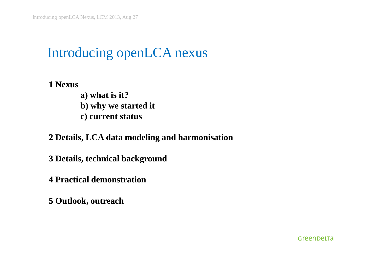#### Introducing openLCA nexus

**1 Nexus**

- **a) what is it?b) why we started it**
- **c) current status**
- **2 Details, LCA data modeling and harmonisation**
- **3 Details, technical background**
- **4 Practical demonstration**
- **5 Outlook, outreach**

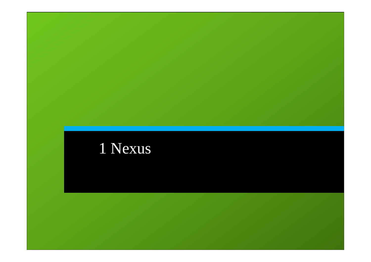### 1 Nexus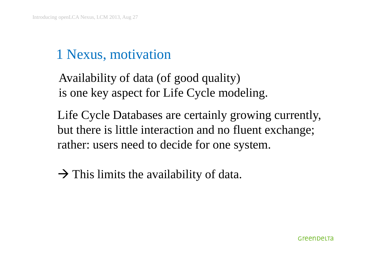Availability of data (of good quality) is one key aspect for Life Cycle modeling.

Life Cycle Databases are certainly growing currently, but there is little interaction and no fluent exchange; rather: users need to decide for one system.

 $\rightarrow$  This limits the availability of data.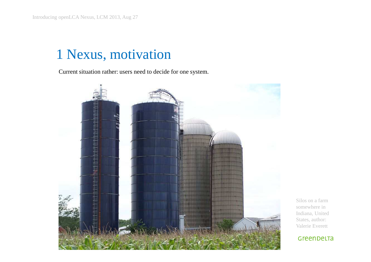Current situation rather: users need to decide for one system.



Silos on a farm somewhere in Indiana, United States, author: Valerie Everett

#### GreenDeLTa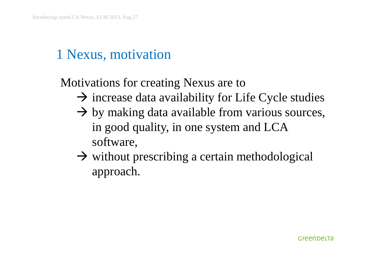Motivations for creating Nexus are to

- $\rightarrow$  increase data availability for Life Cycle studies
- $\rightarrow$  by making data available from various sources,<br>in good quality in one system and  $\Gamma$   $\Delta$ in good quality, in one system and LCA software,
- $\rightarrow$  without prescribing a certain methodological<br>annuach approach.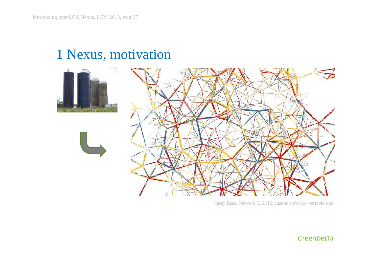

Casey Reas, Network C, 2012, custom software, variable size

#### GreenDeLTa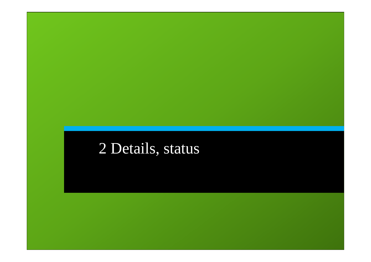## 2 Details, status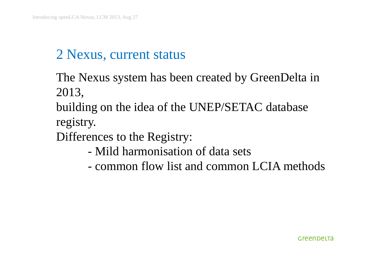#### 2 Nexus, current status

- The Nexus system has been created by GreenDelta in 2013,
- building on the idea of the UNEP/SETAC database registry.
- Differences to the Registry:
	- -Mild harmonisation of data sets
	- common flow list and common LCIA methods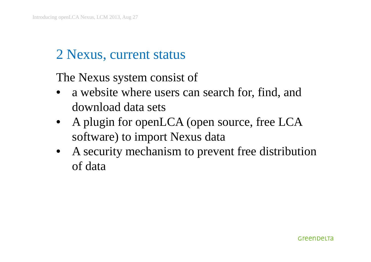#### 2 Nexus, current status

The Nexus system consist of

- • a website where users can search for, find, and download data sets
- A plugin for openLCA (open source, free LCA software) to import Nexus data
- A security mechanism to prevent free distribution of data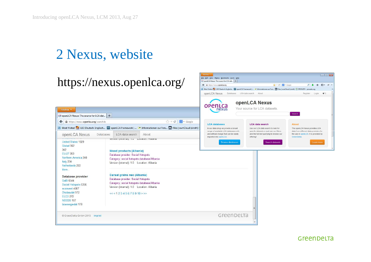#### 2 Nexus, website

#### https://nexus.openlca.org/



Firefox **v** 

Eile Edit View History Bookmarks Tools Help LCB openLCA Nexus: The source for LCA dat... | +

A https://nexus.openica.org

 $\Box$   $\Box$   $\Box$ 

 $P$  +  $R$   $R$  +  $e$ 

 $\mathbf{Q} = \mathbf{C} \mathbf{R} \cdot \mathbf{Google}$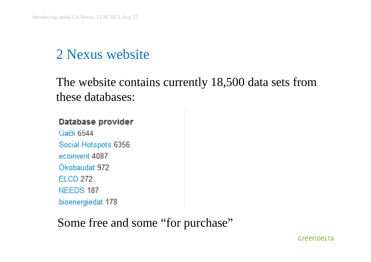#### 2 Nexus website

The website contains currently 18,500 data sets from these databases:

#### Database provider

GaBi 6544 Social Hotspots 6356 ecoinvent 4087 Ökobaudat 972 FLCD 272 NFFDS 187 bioenergiedat 178

Some free and some "for purchase"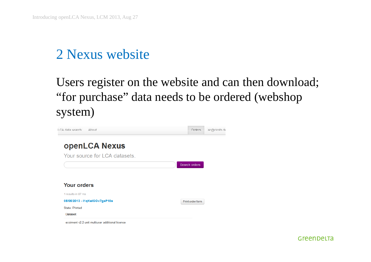#### 2 Nexus website

Users register on the website and can then download;"for purchase" data needs to be ordered (webshopsystem)



ecoinvent v2.2 unit multiuser additional license

GreenDeLTa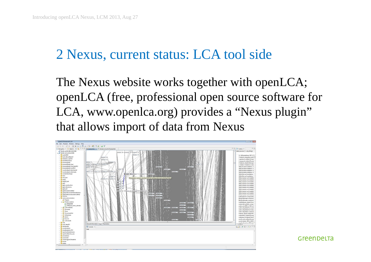#### 2 Nexus, current status: LCA tool side

The Nexus website works together with openLCA;openLCA (free, professional open source software for LCA, www.openlca.org) provides a "Nexus plugin" that allows import of data from Nexus



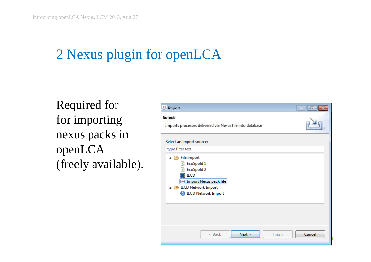#### 2 Nexus plugin for openLCA

Required for for importing nexus packs in openLCA(freely available).

| Lca Import                                                                                                                                                                     | $\Box$ |
|--------------------------------------------------------------------------------------------------------------------------------------------------------------------------------|--------|
| <b>Select</b><br>Imports processes delivered via Nexus file into database                                                                                                      |        |
| Select an import source:                                                                                                                                                       |        |
| type filter text                                                                                                                                                               |        |
| $\blacktriangle$ File Import<br>EcoSpold 1<br>۱x۱<br>EcoSpold 2<br>۱x۱<br><b>ILCD</b><br>LCa Import Nexus pack file<br>ILCD Network Import<br><b>ILCD Network Import</b><br>69 |        |
| Next ><br>Finish<br>< Back                                                                                                                                                     | Cancel |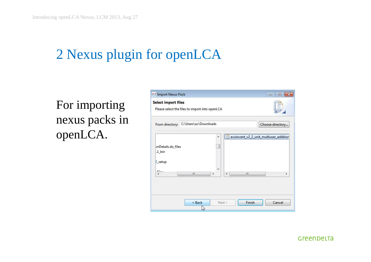### 2 Nexus plugin for openLCA

For importing nexus packs in openLCA.

| LCa Import Nexus Pack                                     |                                                |                                                  |
|-----------------------------------------------------------|------------------------------------------------|--------------------------------------------------|
| Select import files                                       | Please select the files to import into openLCA |                                                  |
| From directory:                                           | C:\Users\ac\Downloads                          | Choose directory                                 |
| >nDetails.do_files<br>.1_bin<br>$E$ _setup<br>E(1,1)<br>∢ | ▲<br>٠<br>m.<br>Þ<br>∢                         | ecoinvent v2 2 unit multiuser addition<br>Ш<br>۱ |
|                                                           | < Back<br>Next                                 | Finish<br>Cancel                                 |

GreenbelTa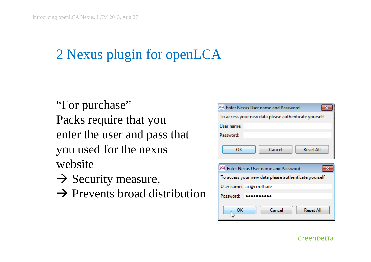### 2 Nexus plugin for openLCA

"For purchase" Packs require that you enter the user and pass that you used for the nexus website

- $\Rightarrow$  Security measure,<br> $\Rightarrow$  Prevents broad div
- $\rightarrow$  Prevents broad distribution

| LCa Enter Nexus User name and Password               |  |  |  |  |  |
|------------------------------------------------------|--|--|--|--|--|
| To access your new data please authenticate yourself |  |  |  |  |  |
| User name:                                           |  |  |  |  |  |
| Password:                                            |  |  |  |  |  |
| OK<br>Cancel<br><b>Reset All</b>                     |  |  |  |  |  |
|                                                      |  |  |  |  |  |
| LCa Enter Nexus User name and Password<br>59         |  |  |  |  |  |
| To access your new data please authenticate yourself |  |  |  |  |  |
| User name: ac@ciroth.de                              |  |  |  |  |  |
| Password:                                            |  |  |  |  |  |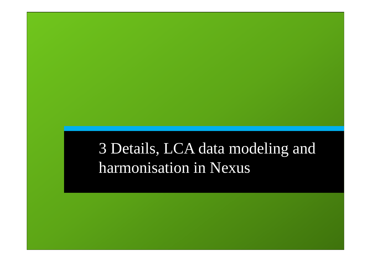# 3 Details, LCA data modeling andharmonisation in Nexus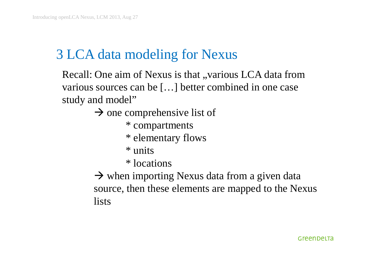#### 3 LCA data modeling for Nexus

Recall: One aim of Nexus is that ,,various LCA data from various sources can be […] better combined in one case study and model"

 $\rightarrow$  one comprehensive list of<br>\* compartments

\* compartments

\* elementary flows

\* units

\* locations

 $\rightarrow$  when importing Nexus data from a given data<br>source, then these elements are manned to the Ne source, then these elements are mapped to the Nexuslists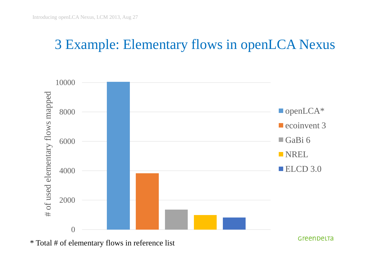#### Example: Elementary flows in openLCA Nexus



\* Total # of elementary flows in reference list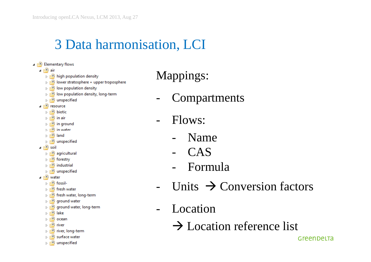#### 3 Data harmonisation, LCI

- **4** Elementary flows ⊿ p<sup>o</sup> air  $\triangleright$   $\Box$  high population density > B lower stratosphere + upper troposphere  $\triangleright$   $\Box$  low population density **DEP** low population density, long-term  $\triangleright$   $\blacksquare$  unspecified  $\triangle$   $\blacksquare$  resource  $\triangleright$   $\blacksquare$  biotic  $\triangleright$   $\blacksquare$  in air  $\triangleright$   $\blacksquare$  in ground  $\triangleright$   $\blacksquare$  in water  $\triangleright$   $\blacksquare$  land  $\triangleright$   $\blacksquare$  unspecified  $\triangle$   $\mathbb{E}$  soil  $\triangleright$   $\mathbb{F}$  agricultural  $\triangleright$   $\blacksquare$  forestry  $\triangleright$   $\blacksquare$  industrial  $\triangleright$   $\mathbb{E}$  unspecified  $\triangle$   $\blacksquare$  water  $\triangleright$   $\blacksquare$  fossil- $\triangleright$   $\mathbb{F}$  fresh water **DE** fresh water, long-term  $\triangleright$   $\mathbb{E}$  ground water  $\triangleright$   $\mathbb{E}$  ground water, long-term  $\triangleright$   $\mathbb{E}$  lake D B ocean  $\triangleright$   $\mathbb{E}$  river  $\triangleright$   $\mathbb{E}$  river, long-term  $\triangleright$   $\mathbb{E}$  surface water
	- $\triangleright$   $\blacksquare$  unspecified

#### Mappings:

- -Compartments
- Flows:
	- Name
	- CAS
	- Formula
- Units  $\rightarrow$  Conversion factors
- - Location
	- $\rightarrow$  Location reference list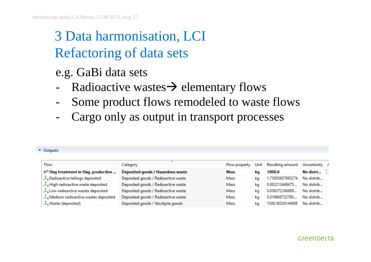# 3 Data harmonisation, LCI

## Refactoring of data sets

#### e.g. GaBi data sets

- -Radioactive wastes  $\rightarrow$  elementary flows<br>Some product flows remodeled to waste
- -Some product flows remodeled to waste flows
- Cargo only as output in transport processes

#### $\blacktriangleright$  Outputs

| Flow                                                            | Category                            | Flow property |    | Unit Resulting amount Uncertainty / |            |  |
|-----------------------------------------------------------------|-------------------------------------|---------------|----|-------------------------------------|------------|--|
| <sup><math>\phi</math></sup> Slag treatment in Slag, production | Deposited goods / Hazardous waste   | Mass          | ka | 1000.0                              | No distri  |  |
| $\left  \cdot \right $ Radioactive tailings deposited           | Deposited goods / Radioactive waste | Mass          | ka | 1.73005607883274                    | No distrib |  |
| High radioactive waste deposited                                | Deposited goods / Radioactive waste | Mass          | ka | 0.002213448475                      | No distrib |  |
| Low radioactive wastes deposited                                | Deposited goods / Radioactive waste | Mass          | ka | 0.036372246889                      | No distrib |  |
| Medium radioactive wastes deposited                             | Deposited goods / Radioactive waste | Mass          | ka | 0.018668732780                      | No distrib |  |
| Waste (deposited)                                               | Deposited goods / Stockpile goods   | Mass          | ka | 1508.56326144908                    | No distrib |  |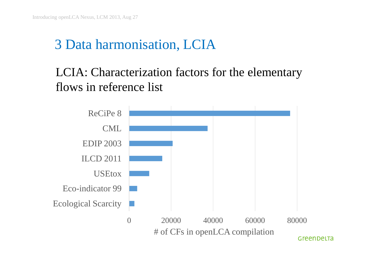#### 3 Data harmonisation, LCIA

LCIA: Characterization factors for the elementary flows in reference list

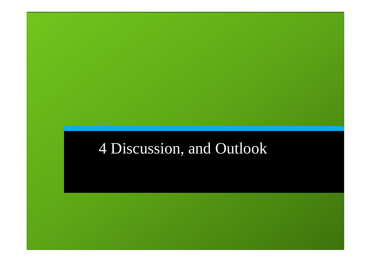# 4 Discussion, and Outlook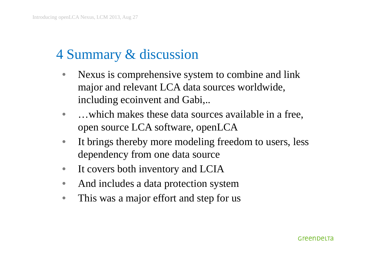#### 4 Summary & discussion

- $\bullet$ Nexus is comprehensive system to combine and link major and relevant LCA data sources worldwide, including ecoinvent and Gabi,..
- $\bullet$  …which makes these data sources available in a free, open source LCA software, openLCA
- It brings thereby more modeling freedom to users, less  $\bullet$ dependency from one data source
- $\bullet$ It covers both inventory and LCIA
- And includes a data protection system $\bullet$
- This was a major effort and step for us $\bullet$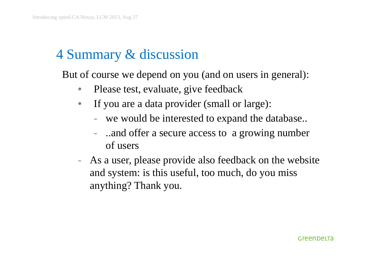#### 4 Summary & discussion

But of course we depend on you (and on users in general):

- •Please test, evaluate, give feedback
- $\bullet$ If you are a data provider (small or large):
	- we would be interested to expan<sup>d</sup> the database..
	- ..and offer a secure access to a growing number of users
- As a user, please provide also feedback on the websiteand system: is this useful, too much, do you miss anything? Thank you.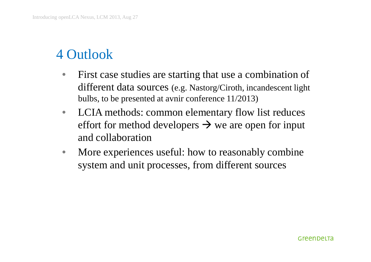#### 4 Outlook

- $\bullet$  First case studies are starting that use a combination of different data sources (e.g. Nastorg/Ciroth, incandescent light bulbs, to be presented at avnir conference 11/2013)
- $\bullet$ • LCIA methods: common elementary flow list reduces effort for method developers  $\rightarrow$  we are open for input<br>and collaboration and collaboration
- $\bullet$ • More experiences useful: how to reasonably combine system and unit processes, from different sources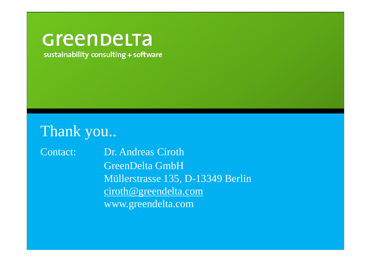### GreenbeLTa

sustainability consulting + software

#### Thankyou..

Contact: Dr. Andreas Ciroth GreenDelta GmbH Müllerstrasse 135, D-13349 Berlinciroth@greendelta.comwww.greendelta.com